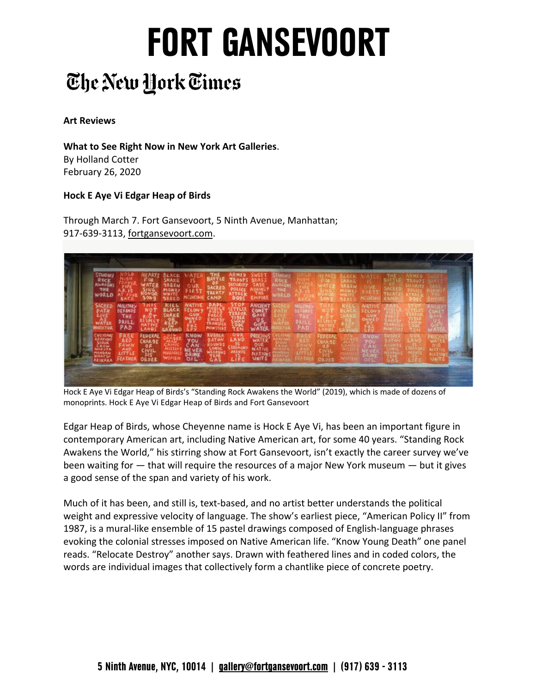# **FORT GANSEVOORT**

### The New York Times

#### **Art Reviews**

 **What to See Right Now in New York Art Galleries**. By Holland Cotter February 26, 2020

### **Hock E Aye Vi Edgar Heap of Birds**

 Through March 7. Fort Gansevoort, 5 Ninth Avenue, Manhattan; 917-639-3113, [fortgansevoort.com](https://fortgansevoort.com).

| STANDING<br>Rock<br><b>Alk AREAS</b><br>THE<br>WORLD |                                                   | ring<br>Sawg                    | <b>IREEN</b><br>MONE)<br>WHITE | HEDICINIC         | <b>SACR</b><br>CANP                     | ARMED<br>0-04                        | ENPIRE                                  |  |                        |             |  |  |
|------------------------------------------------------|---------------------------------------------------|---------------------------------|--------------------------------|-------------------|-----------------------------------------|--------------------------------------|-----------------------------------------|--|------------------------|-------------|--|--|
| MCREI<br><b>Shifted to A</b>                         | <b>MILITARY</b><br>DEFENDS<br>THE<br>DRILL<br>PAD |                                 | KILL                           | F,                | <b>MAIN STEAM</b>                       | ST 01<br>Linu<br><b>CODE</b><br>TIEN | <b>ANGENT</b><br>COMET<br>GAVE<br>WATER |  |                        | 助           |  |  |
|                                                      | <b>FEATMER</b>                                    | CHARGE<br><b>CIVIL</b><br>ORDER | .<br>Missa                     | KMOI<br>۷O۱<br>ъı | Arow<br><b>COUND</b><br>SPNIC<br>VERPON | <b>OUR</b><br>LAND                   |                                         |  | FEDERAL<br><b>DARE</b> | <b>KNOW</b> |  |  |

 Hock E Aye Vi Edgar Heap of Birds's "Standing Rock Awakens the World" (2019), which is made of dozens of monoprints. Hock E Aye Vi Edgar Heap of Birds and Fort Gansevoort

 Edgar Heap of Birds, whose Cheyenne name is Hock E Aye Vi, has been an important figure in contemporary American art, including Native American art, for some 40 years. "Standing Rock Awakens the World," his stirring show at Fort Gansevoort, isn't exactly the career survey we've been waiting for — that will require the resources of a major New York museum — but it gives a good sense of the span and variety of his work.

 Much of it has been, and still is, text-based, and no artist better understands the political weight and expressive velocity of language. The show's earliest piece, "American Policy II" from 1987, is a mural-like ensemble of 15 pastel drawings composed of English-language phrases evoking the colonial stresses imposed on Native American life. "Know Young Death" one panel reads. "Relocate Destroy" another says. Drawn with feathered lines and in coded colors, the words are individual images that collectively form a chantlike piece of concrete poetry.